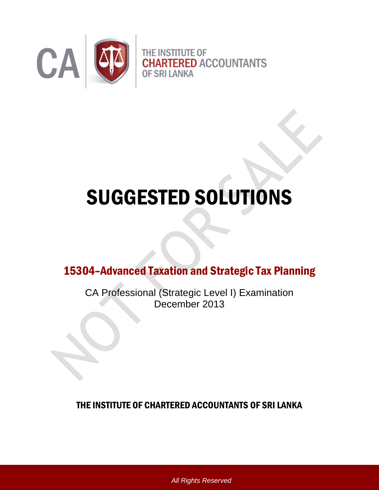

# SUGGESTED SOLUTIONS

15304–Advanced Taxation and Strategic Tax Planning

CA Professional (Strategic Level I) Examination December 2013

THE INSTITUTE OF CHARTERED ACCOUNTANTS OF SRI LANKA

*All Rights Reserved*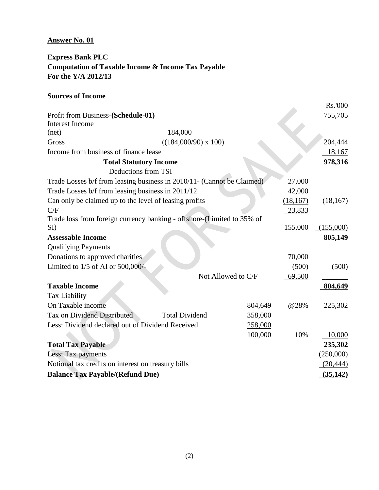### **Answer No. 01**

## **Express Bank PLC Computation of Taxable Income & Income Tax Payable For the Y/A 2012/13**

### **Sources of Income**

|                                                                        |                               |                    |           | Rs.'000   |
|------------------------------------------------------------------------|-------------------------------|--------------------|-----------|-----------|
| Profit from Business-(Schedule-01)                                     |                               |                    |           | 755,705   |
| <b>Interest Income</b>                                                 |                               |                    |           |           |
| (net)                                                                  | 184,000                       |                    |           |           |
| Gross                                                                  | $((184,000/90) \times 100)$   |                    |           | 204,444   |
| Income from business of finance lease                                  |                               |                    |           | 18,167    |
|                                                                        | <b>Total Statutory Income</b> |                    |           | 978,316   |
|                                                                        | Deductions from TSI           |                    |           |           |
| Trade Losses b/f from leasing business in 2010/11- (Cannot be Claimed) |                               |                    | 27,000    |           |
| Trade Losses b/f from leasing business in 2011/12                      |                               |                    | 42,000    |           |
| Can only be claimed up to the level of leasing profits                 |                               |                    | (18, 167) | (18, 167) |
| C/F                                                                    |                               |                    | 23,833    |           |
| Trade loss from foreign currency banking - offshore-(Limited to 35% of |                               |                    |           |           |
| SI)                                                                    |                               |                    | 155,000   | (155,000) |
| <b>Assessable Income</b>                                               |                               |                    |           | 805,149   |
| <b>Qualifying Payments</b>                                             |                               |                    |           |           |
| Donations to approved charities                                        |                               |                    | 70,000    |           |
| Limited to 1/5 of AI or 500,000/-                                      |                               |                    | (500)     | (500)     |
|                                                                        |                               | Not Allowed to C/F | 69,500    |           |
| <b>Taxable Income</b>                                                  |                               |                    |           | 804,649   |
| Tax Liability                                                          |                               |                    |           |           |
| On Taxable income                                                      |                               | 804,649            | @28%      | 225,302   |
| Tax on Dividend Distributed                                            | <b>Total Dividend</b>         | 358,000            |           |           |
| Less: Dividend declared out of Dividend Received                       |                               | 258,000            |           |           |
|                                                                        |                               | 100,000            | 10%       | 10,000    |
| <b>Total Tax Payable</b>                                               |                               |                    |           | 235,302   |
| Less: Tax payments                                                     |                               |                    |           | (250,000) |
| Notional tax credits on interest on treasury bills                     |                               |                    |           | (20, 444) |
| <b>Balance Tax Payable/(Refund Due)</b>                                |                               |                    |           | (35, 142) |
|                                                                        |                               |                    |           |           |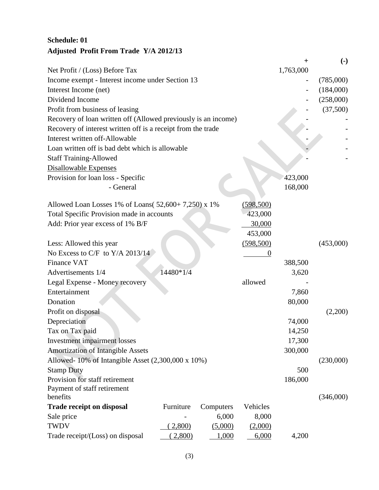# **Schedule: 01 Adjusted Profit From Trade Y/A 2012/13**

|                                                                |           |           |            |           | $\left( \text{-} \right)$ |
|----------------------------------------------------------------|-----------|-----------|------------|-----------|---------------------------|
| Net Profit / (Loss) Before Tax                                 |           |           |            | 1,763,000 |                           |
| Income exempt - Interest income under Section 13               |           |           |            |           | (785,000)                 |
| Interest Income (net)                                          |           |           |            |           | (184,000)                 |
| Dividend Income                                                |           |           |            |           | (258,000)                 |
| Profit from business of leasing                                |           |           |            |           | (37,500)                  |
| Recovery of loan written off (Allowed previously is an income) |           |           |            |           |                           |
| Recovery of interest written off is a receipt from the trade   |           |           |            |           |                           |
| Interest written off-Allowable                                 |           |           |            |           |                           |
| Loan written off is bad debt which is allowable                |           |           |            |           |                           |
| <b>Staff Training-Allowed</b>                                  |           |           |            |           |                           |
| <b>Disallowable Expenses</b>                                   |           |           |            |           |                           |
| Provision for loan loss - Specific                             |           |           |            | 423,000   |                           |
| - General                                                      |           |           |            | 168,000   |                           |
|                                                                |           |           |            |           |                           |
| Allowed Loan Losses 1% of Loans( $52,600+7,250$ ) x 1%         |           |           | (598, 500) |           |                           |
| Total Specific Provision made in accounts                      |           |           | 423,000    |           |                           |
| Add: Prior year excess of 1% B/F                               |           |           | 30,000     |           |                           |
|                                                                |           |           | 453,000    |           |                           |
| Less: Allowed this year                                        |           |           | (598, 500) |           | (453,000)                 |
| No Excess to C/F to Y/A 2013/14                                |           |           | $\theta$   |           |                           |
| <b>Finance VAT</b>                                             |           |           |            | 388,500   |                           |
| Advertisements 1/4                                             | 14480*1/4 |           |            | 3,620     |                           |
| Legal Expense - Money recovery                                 |           |           | allowed    |           |                           |
| Entertainment                                                  |           |           |            | 7,860     |                           |
| Donation                                                       |           |           |            | 80,000    |                           |
| Profit on disposal                                             |           |           |            |           | (2,200)                   |
| Depreciation                                                   |           |           |            | 74,000    |                           |
| Tax on Tax paid                                                |           |           |            | 14,250    |                           |
| Investment impairment losses                                   |           |           |            | 17,300    |                           |
| <b>Amortization of Intangible Assets</b>                       |           |           |            | 300,000   |                           |
| Allowed-10% of Intangible Asset (2,300,000 x 10%)              |           |           |            |           | (230,000)                 |
| <b>Stamp Duty</b>                                              |           |           |            | 500       |                           |
| Provision for staff retirement                                 |           |           |            | 186,000   |                           |
| Payment of staff retirement                                    |           |           |            |           |                           |
| benefits                                                       |           |           |            |           | (346,000)                 |
| <b>Trade receipt on disposal</b>                               | Furniture | Computers | Vehicles   |           |                           |
| Sale price                                                     |           | 6,000     | 8,000      |           |                           |
| <b>TWDV</b>                                                    | 2,800)    | (5,000)   | (2,000)    |           |                           |
| Trade receipt/(Loss) on disposal                               | 2,800     | 1,000     | 6,000      | 4,200     |                           |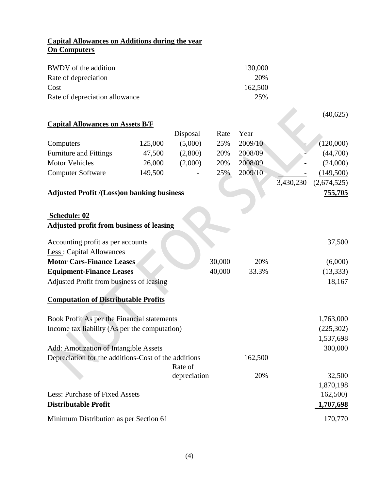## **Capital Allowances on Additions during the year On Computers**

| BWDV of the addition<br>Rate of depreciation<br>Cost |         |              |        | 130,000<br>20%<br>162,500 |           |                |
|------------------------------------------------------|---------|--------------|--------|---------------------------|-----------|----------------|
| Rate of depreciation allowance                       |         |              |        | 25%                       |           |                |
|                                                      |         |              |        |                           |           | (40,625)       |
| <b>Capital Allowances on Assets B/F</b>              |         |              |        |                           |           |                |
|                                                      |         | Disposal     | Rate   | Year                      |           |                |
| Computers                                            | 125,000 | (5,000)      | 25%    | 2009/10                   |           | (120,000)      |
| <b>Furniture and Fittings</b>                        | 47,500  | (2,800)      | 20%    | 2008/09                   |           | (44,700)       |
| <b>Motor Vehicles</b>                                | 26,000  | (2,000)      | 20%    | 2008/09                   |           | (24,000)       |
| <b>Computer Software</b>                             | 149,500 |              | 25%    | 2009/10                   |           | (149,500)      |
|                                                      |         |              |        |                           | 3,430,230 | (2,674,525)    |
| <b>Adjusted Profit /(Loss) on banking business</b>   |         |              |        |                           |           | <u>755,705</u> |
|                                                      |         |              |        |                           |           |                |
| Schedule: 02                                         |         |              |        |                           |           |                |
| <b>Adjusted profit from business of leasing</b>      |         |              |        |                           |           |                |
|                                                      |         |              |        |                           |           |                |
| Accounting profit as per accounts                    |         |              |        |                           |           | 37,500         |
| Less: Capital Allowances                             |         |              |        |                           |           |                |
| <b>Motor Cars-Finance Leases</b>                     |         |              | 30,000 | 20%                       |           | (6,000)        |
| <b>Equipment-Finance Leases</b>                      |         |              | 40,000 | 33.3%                     |           | (13, 333)      |
| Adjusted Profit from business of leasing             |         |              |        |                           |           | 18,167         |
| <b>Computation of Distributable Profits</b>          |         |              |        |                           |           |                |
|                                                      |         |              |        |                           |           |                |
| Book Profit As per the Financial statements          |         |              |        |                           |           | 1,763,000      |
| Income tax liability (As per the computation)        |         |              |        |                           |           | (225,302)      |
|                                                      |         |              |        |                           |           | 1,537,698      |
| <b>Add: Amotization of Intangible Assets</b>         |         |              |        |                           |           | 300,000        |
| Depreciation for the additions-Cost of the additions |         |              |        | 162,500                   |           |                |
|                                                      |         | Rate of      |        |                           |           |                |
|                                                      |         | depreciation |        | 20%                       |           | 32,500         |
|                                                      |         |              |        |                           |           | 1,870,198      |
| Less: Purchase of Fixed Assets                       |         |              |        |                           |           | 162,500)       |
| <b>Distributable Profit</b>                          |         |              |        |                           |           | 1,707,698      |
| Minimum Distribution as per Section 61               |         |              |        |                           |           | 170,770        |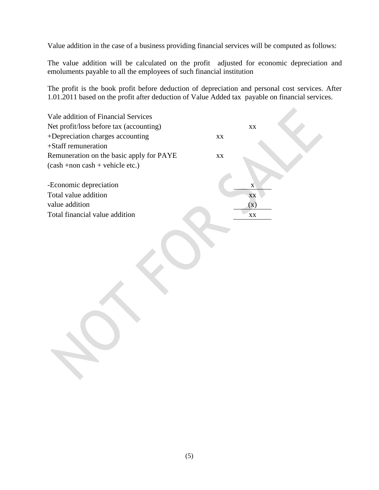Value addition in the case of a business providing financial services will be computed as follows:

The value addition will be calculated on the profit adjusted for economic depreciation and emoluments payable to all the employees of such financial institution

The profit is the book profit before deduction of depreciation and personal cost services. After 1.01.2011 based on the profit after deduction of Value Added tax payable on financial services.

| Vale addition of Financial Services      |                        |                        |  |
|------------------------------------------|------------------------|------------------------|--|
| Net profit/loss before tax (accounting)  |                        | $\mathbf{X}\mathbf{X}$ |  |
| +Depreciation charges accounting         | $\mathbf{X}\mathbf{X}$ |                        |  |
| +Staff remuneration                      |                        |                        |  |
| Remuneration on the basic apply for PAYE | $\mathbf{X}\mathbf{X}$ |                        |  |
| (cash +non cash + vehicle etc.)          |                        |                        |  |
|                                          |                        |                        |  |
| -Economic depreciation                   |                        | $\mathbf X$            |  |
| Total value addition                     |                        | XX                     |  |
| value addition                           |                        | $\left( x\right)$      |  |
| Total financial value addition           |                        | $\mathbf{X}\mathbf{X}$ |  |
|                                          |                        |                        |  |
|                                          |                        |                        |  |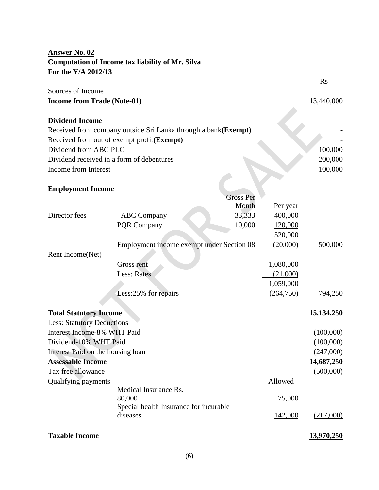## **Answer No. 02 Computation of Income tax liability of Mr. Silva For the Y/A 2012/13**

| Sources of Income                  |            |
|------------------------------------|------------|
| <b>Income from Trade (Note-01)</b> | 13,440,000 |
|                                    |            |
| <b>Dividend Income</b>             |            |

Rs

## **Dividend Income**

| Received from company outside Sri Lanka through a bank (Exempt) |         |
|-----------------------------------------------------------------|---------|
| Received from out of exempt profit( <b>Exempt</b> )             |         |
| Dividend from ABC PLC                                           | 100,000 |
| Dividend received in a form of debentures                       | 200,000 |
| Income from Interest                                            | 100,000 |
| <b>Employment Income</b>                                        |         |

## **Employment Income**

|                                   |                                                    | <b>Gross Per</b> |            |                |
|-----------------------------------|----------------------------------------------------|------------------|------------|----------------|
|                                   |                                                    | Month            | Per year   |                |
| Director fees                     | <b>ABC</b> Company                                 | 33,333           | 400,000    |                |
|                                   | <b>PQR Company</b>                                 | 10,000           | 120,000    |                |
|                                   |                                                    |                  | 520,000    |                |
|                                   | Employment income exempt under Section 08          |                  | (20,000)   | 500,000        |
| Rent Income(Net)                  |                                                    |                  |            |                |
|                                   | <b>Gross rent</b>                                  |                  | 1,080,000  |                |
|                                   | <b>Less: Rates</b>                                 |                  | (21,000)   |                |
|                                   |                                                    |                  | 1,059,000  |                |
|                                   | Less:25% for repairs                               |                  | (264, 750) | <u>794,250</u> |
|                                   |                                                    |                  |            |                |
| <b>Total Statutory Income</b>     |                                                    |                  |            | 15, 134, 250   |
| <b>Less: Statutory Deductions</b> |                                                    |                  |            |                |
| Interest Income-8% WHT Paid       |                                                    |                  |            | (100,000)      |
| Dividend-10% WHT Paid             |                                                    |                  |            | (100,000)      |
| Interest Paid on the housing loan |                                                    |                  |            | (247,000)      |
| <b>Assessable Income</b>          |                                                    |                  |            | 14,687,250     |
| Tax free allowance                |                                                    |                  |            | (500,000)      |
| <b>Qualifying payments</b>        |                                                    |                  | Allowed    |                |
|                                   | Medical Insurance Rs.                              |                  |            |                |
|                                   | 80,000                                             |                  | 75,000     |                |
|                                   | Special health Insurance for incurable<br>diseases |                  | 142,000    | (217,000)      |
| <b>Taxable Income</b>             |                                                    |                  |            | 13,970,250     |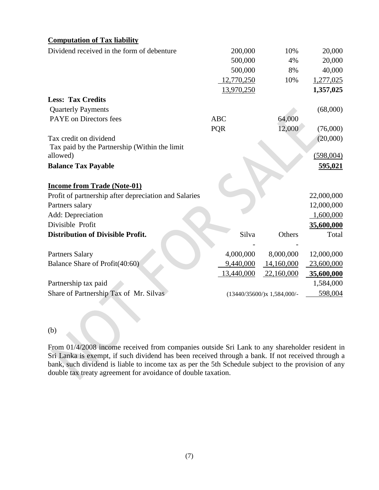### **Computation of Tax liability**

| Dividend received in the form of debenture            | 200,000    | 10%                           | 20,000     |
|-------------------------------------------------------|------------|-------------------------------|------------|
|                                                       | 500,000    | 4%                            | 20,000     |
|                                                       | 500,000    | 8%                            | 40,000     |
|                                                       | 12,770,250 | 10%                           | 1,277,025  |
|                                                       | 13,970,250 |                               | 1,357,025  |
| <b>Less: Tax Credits</b>                              |            |                               |            |
| <b>Quarterly Payments</b>                             |            |                               | (68,000)   |
| PAYE on Directors fees                                | <b>ABC</b> | 64,000                        |            |
|                                                       | <b>PQR</b> | 12,000                        | (76,000)   |
| Tax credit on dividend                                |            |                               | (20,000)   |
| Tax paid by the Partnership (Within the limit         |            |                               |            |
| allowed)                                              |            |                               | (598,004)  |
| <b>Balance Tax Payable</b>                            |            |                               | 595,021    |
|                                                       |            |                               |            |
| <b>Income from Trade (Note-01)</b>                    |            |                               |            |
| Profit of partnership after depreciation and Salaries |            |                               | 22,000,000 |
| Partners salary                                       |            |                               | 12,000,000 |
| Add: Depreciation                                     |            |                               | 1,600,000  |
| Divisible Profit                                      |            |                               | 35,600,000 |
| <b>Distribution of Divisible Profit.</b>              | Silva      | Others                        | Total      |
|                                                       |            |                               |            |
| <b>Partners Salary</b>                                | 4,000,000  | 8,000,000                     | 12,000,000 |
| Balance Share of Profit(40:60)                        | 9,440,000  | 14,160,000                    | 23,600,000 |
|                                                       | 13,440,000 | 22,160,000                    | 35,600,000 |
| Partnership tax paid                                  |            |                               | 1,584,000  |
| Share of Partnership Tax of Mr. Silvas                |            | $(13440/35600)/x$ 1,584,000/- | 598,004    |
|                                                       |            |                               |            |

#### (b)

From 01/4/2008 income received from companies outside Sri Lank to any shareholder resident in Sri Lanka is exempt, if such dividend has been received through a bank. If not received through a bank, such dividend is liable to income tax as per the 5th Schedule subject to the provision of any double tax treaty agreement for avoidance of double taxation.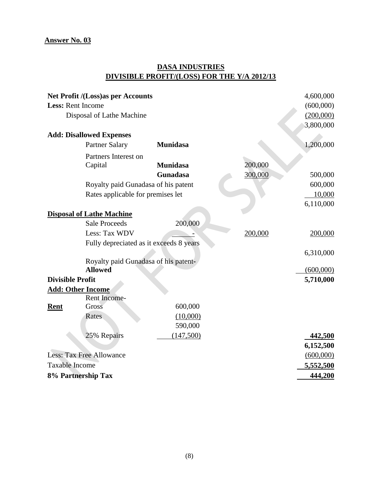## **DASA INDUSTRIES DIVISIBLE PROFIT/(LOSS) FOR THE Y/A 2012/13**

|                          | Net Profit /(Loss)as per Accounts       |                 |         | 4,600,000 |
|--------------------------|-----------------------------------------|-----------------|---------|-----------|
| <b>Less: Rent Income</b> |                                         |                 |         | (600,000) |
|                          | Disposal of Lathe Machine               |                 |         | (200,000) |
|                          |                                         |                 |         | 3,800,000 |
|                          | <b>Add: Disallowed Expenses</b>         |                 |         |           |
|                          | <b>Partner Salary</b>                   | <b>Munidasa</b> |         | 1,200,000 |
|                          | Partners Interest on                    |                 |         |           |
|                          | Capital                                 | <b>Munidasa</b> | 200,000 |           |
|                          |                                         | Gunadasa        | 300,000 | 500,000   |
|                          | Royalty paid Gunadasa of his patent     |                 |         | 600,000   |
|                          | Rates applicable for premises let       |                 |         | 10,000    |
|                          |                                         |                 |         | 6,110,000 |
|                          | <b>Disposal of Lathe Machine</b>        |                 |         |           |
|                          | <b>Sale Proceeds</b>                    | 200,000         |         |           |
|                          | Less: Tax WDV                           |                 | 200,000 | 200,000   |
|                          | Fully depreciated as it exceeds 8 years |                 |         |           |
|                          |                                         |                 |         | 6,310,000 |
|                          | Royalty paid Gunadasa of his patent-    |                 |         |           |
|                          | <b>Allowed</b>                          |                 |         | (600,000) |
| <b>Divisible Profit</b>  |                                         |                 |         | 5,710,000 |
|                          | <b>Add: Other Income</b>                |                 |         |           |
|                          | Rent Income-                            |                 |         |           |
| <b>Rent</b>              | Gross                                   | 600,000         |         |           |
|                          | <b>Rates</b>                            | (10,000)        |         |           |
|                          |                                         | 590,000         |         |           |
|                          | 25% Repairs                             | (147,500)       |         | 442,500   |
|                          |                                         |                 |         | 6,152,500 |
|                          | <b>Less: Tax Free Allowance</b>         |                 |         | (600,000) |
| <b>Taxable Income</b>    |                                         |                 |         | 5,552,500 |
|                          | 8% Partnership Tax                      |                 |         | 444,200   |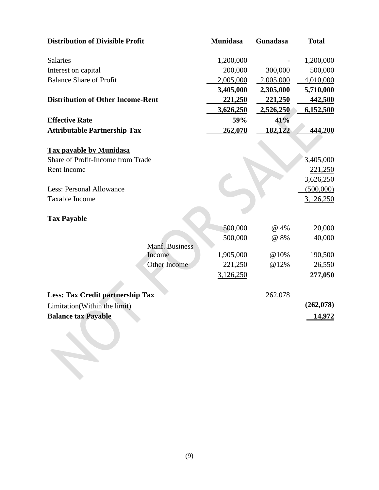| <b>Munidasa</b> | Gunadasa                          | <b>Total</b>   |
|-----------------|-----------------------------------|----------------|
| 1,200,000       |                                   | 1,200,000      |
| 200,000         | 300,000                           | 500,000        |
| 2,005,000       | 2,005,000                         | 4,010,000      |
| 3,405,000       | 2,305,000                         | 5,710,000      |
| 221,250         | 221,250                           | <u>442,500</u> |
| 3,626,250       | 2,526,250                         | 6,152,500      |
| 59%             | 41%                               |                |
| 262,078         | 182,122                           | 444,200        |
|                 |                                   |                |
|                 |                                   | 3,405,000      |
|                 |                                   | 221,250        |
|                 |                                   | 3,626,250      |
|                 |                                   | (500,000)      |
|                 |                                   | 3,126,250      |
|                 |                                   |                |
| 500,000         | @ 4%                              | 20,000         |
| 500,000         | @ 8%                              | 40,000         |
|                 |                                   |                |
|                 |                                   | 190,500        |
|                 |                                   | 26,550         |
|                 |                                   | 277,050        |
|                 | 262,078                           |                |
|                 |                                   | (262,078)      |
|                 |                                   | 14,972         |
|                 |                                   |                |
|                 | 1,905,000<br>221,250<br>3,126,250 | @10%<br>@12%   |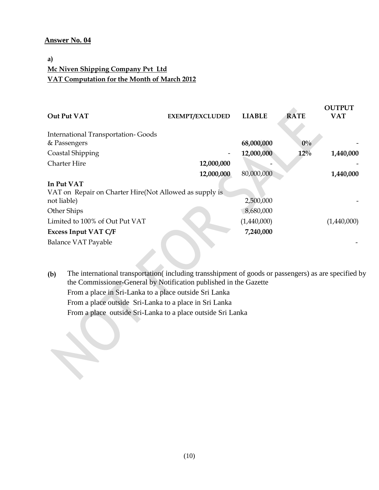#### **Answer No. 04**

## **a) Mc Niven Shipping Company Pvt Ltd VAT Computation for the Month of March 2012**

|                                                         |                        |               |             | <b>OUTPUT</b> |
|---------------------------------------------------------|------------------------|---------------|-------------|---------------|
| Out Put VAT                                             | <b>EXEMPT/EXCLUDED</b> | <b>LIABLE</b> | <b>RATE</b> | <b>VAT</b>    |
| <b>International Transportation-Goods</b>               |                        |               |             |               |
| & Passengers                                            |                        | 68,000,000    | $0\%$       |               |
| Coastal Shipping                                        |                        | 12,000,000    | $12\%$      | 1,440,000     |
| <b>Charter Hire</b>                                     | 12,000,000             |               |             |               |
|                                                         | 12,000,000             | 80,000,000    |             | 1,440,000     |
| In Put VAT                                              |                        |               |             |               |
| VAT on Repair on Charter Hire (Not Allowed as supply is |                        |               |             |               |
| not liable)                                             |                        | 2,500,000     |             |               |
| Other Ships                                             |                        | 8,680,000     |             |               |
| Limited to 100% of Out Put VAT                          |                        | (1,440,000)   |             | (1,440,000)   |
| <b>Excess Input VAT C/F</b>                             |                        | 7,240,000     |             |               |
| <b>Balance VAT Payable</b>                              |                        |               |             |               |
|                                                         |                        |               |             |               |

**(b)** The international transportation( including transshipment of goods or passengers) as are specified by the Commissioner-General by Notification published in the Gazette From a place in Sri-Lanka to a place outside Sri Lanka From a place outside Sri-Lanka to a place in Sri Lanka From a place outside Sri-Lanka to a place outside Sri Lanka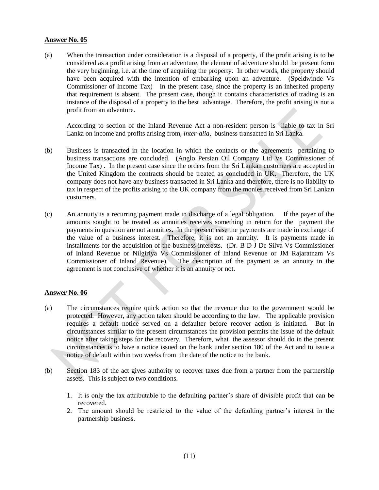#### **Answer No. 05**

(a) When the transaction under consideration is a disposal of a property, if the profit arising is to be considered as a profit arising from an adventure, the element of adventure should be present form the very beginning, i.e. at the time of acquiring the property. In other words, the property should have been acquired with the intention of embarking upon an adventure. (Speldwinde Vs Commissioner of Income Tax) In the present case, since the property is an inherited property that requirement is absent. The present case, though it contains characteristics of trading is an instance of the disposal of a property to the best advantage. Therefore, the profit arising is not a profit from an adventure.

According to section of the Inland Revenue Act a non-resident person is liable to tax in Sri Lanka on income and profits arising from, *inter-alia*, business transacted in Sri Lanka.

- (b) Business is transacted in the location in which the contacts or the agreements pertaining to business transactions are concluded. (Anglo Persian Oil Company Ltd Vs Commissioner of Income Tax) . In the present case since the orders from the Sri Lankan customers are accepted in the United Kingdom the contracts should be treated as concluded in UK. Therefore, the UK company does not have any business transacted in Sri Lanka and therefore, there is no liability to tax in respect of the profits arising to the UK company from the monies received from Sri Lankan customers.
- (c) An annuity is a recurring payment made in discharge of a legal obligation. If the payer of the amounts sought to be treated as annuities receives something in return for the payment the payments in question are not annuities. In the present case the payments are made in exchange of the value of a business interest. Therefore, it is not an annuity. It is payments made in installments for the acquisition of the business interests. (Dr. B D J De Silva Vs Commissioner of Inland Revenue or Nilgiriya Vs Commissioner of Inland Revenue or JM Rajaratnam Vs Commissioner of Inland Revenue). The description of the payment as an annuity in the agreement is not conclusive of whether it is an annuity or not.

#### **Answer No. 06**

- (a) The circumstances require quick action so that the revenue due to the government would be protected. However, any action taken should be according to the law. The applicable provision requires a default notice served on a defaulter before recover action is initiated. But in circumstances similar to the present circumstances the provision permits the issue of the default notice after taking steps for the recovery. Therefore, what the assessor should do in the present circumstances is to have a notice issued on the bank under section 180 of the Act and to issue a notice of default within two weeks from the date of the notice to the bank.
- (b) Section 183 of the act gives authority to recover taxes due from a partner from the partnership assets. This is subject to two conditions.
	- 1. It is only the tax attributable to the defaulting partner's share of divisible profit that can be recovered.
	- 2. The amount should be restricted to the value of the defaulting partner's interest in the partnership business.